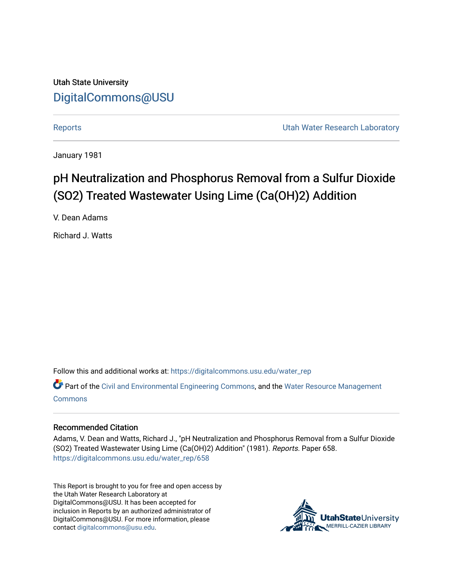Utah State University [DigitalCommons@USU](https://digitalcommons.usu.edu/)

[Reports](https://digitalcommons.usu.edu/water_rep) **Exercise Exercise Exercise Exercise Contract Contract Contract Contract Contract Contract Contract Contract Contract Contract Contract Contract Contract Contract Contract Contract Contract Contract Contract Contra** 

January 1981

## pH Neutralization and Phosphorus Removal from a Sulfur Dioxide (SO2) Treated Wastewater Using Lime (Ca(OH)2) Addition

V. Dean Adams

Richard J. Watts

Follow this and additional works at: [https://digitalcommons.usu.edu/water\\_rep](https://digitalcommons.usu.edu/water_rep?utm_source=digitalcommons.usu.edu%2Fwater_rep%2F658&utm_medium=PDF&utm_campaign=PDFCoverPages) 

Part of the [Civil and Environmental Engineering Commons](http://network.bepress.com/hgg/discipline/251?utm_source=digitalcommons.usu.edu%2Fwater_rep%2F658&utm_medium=PDF&utm_campaign=PDFCoverPages), and the [Water Resource Management](http://network.bepress.com/hgg/discipline/1057?utm_source=digitalcommons.usu.edu%2Fwater_rep%2F658&utm_medium=PDF&utm_campaign=PDFCoverPages) **[Commons](http://network.bepress.com/hgg/discipline/1057?utm_source=digitalcommons.usu.edu%2Fwater_rep%2F658&utm_medium=PDF&utm_campaign=PDFCoverPages)** 

#### Recommended Citation

Adams, V. Dean and Watts, Richard J., "pH Neutralization and Phosphorus Removal from a Sulfur Dioxide (SO2) Treated Wastewater Using Lime (Ca(OH)2) Addition" (1981). Reports. Paper 658. [https://digitalcommons.usu.edu/water\\_rep/658](https://digitalcommons.usu.edu/water_rep/658?utm_source=digitalcommons.usu.edu%2Fwater_rep%2F658&utm_medium=PDF&utm_campaign=PDFCoverPages)

This Report is brought to you for free and open access by the Utah Water Research Laboratory at DigitalCommons@USU. It has been accepted for inclusion in Reports by an authorized administrator of DigitalCommons@USU. For more information, please contact [digitalcommons@usu.edu](mailto:digitalcommons@usu.edu).

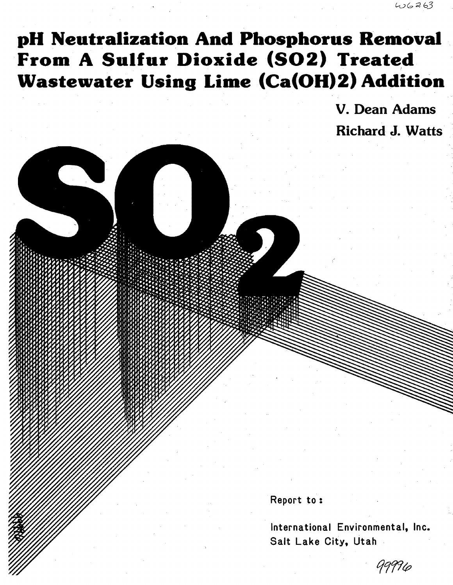# **pH Neutralization And Phosphorus Removal** . From A Sulfur Dioxide (SO2) Treated **Wastewater Using Lime (Ca(OH)2) Addition**

v. Dean Adams Richard J. Watts

Report to :

International Environmental, Inc. Salt Lake City, Utah

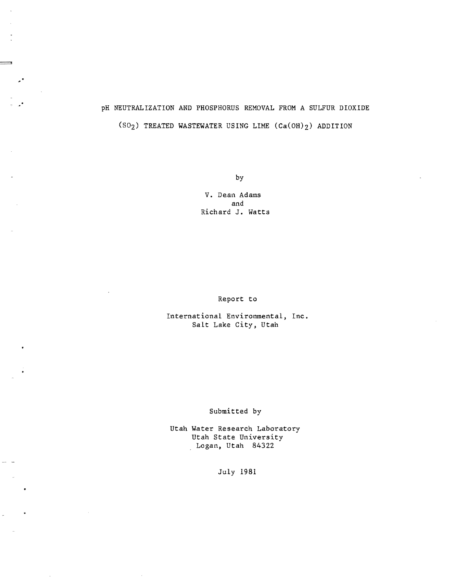## pH NEUTRALIZATION AND PHOSPHORUS REMOVAL FROM A SULFUR DIOXIDE (SO<sub>2</sub>) TREATED WASTEWATER USING LIME  $(Ca(OH)_{2})$  ADDITION

===

 $\mathbf{z}^*$ 

by

V. Dean Adams and Richard **J.** Watts

Report to

International Environmental, Inc. Salt Lake City, Utah

#### Submitted by

Utah Water Research Laboratory Utah State University , Logan, Utah 84322

July 1981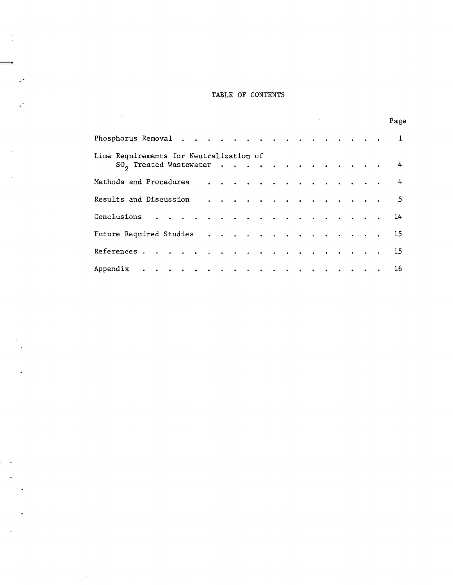#### TABLE OF CONTENTS

 $\equiv$ 

 $\mathcal{L}^{\text{c}}$ 

 $\frac{1}{2}$ 

J.

--- -

 $\sim$ 

 $\overline{\phantom{a}}$ 

 $\bullet$ 

 $\ddot{\phantom{0}}$ 

 $\sim$ 

 $\sim$ 

 $\overline{\phantom{a}}$ 

|                                         |  |  |  |  |  |  |  |  | Page |
|-----------------------------------------|--|--|--|--|--|--|--|--|------|
|                                         |  |  |  |  |  |  |  |  |      |
| Lime Requirements for Neutralization of |  |  |  |  |  |  |  |  |      |
| $SO_2$ Treated Wastewater 4             |  |  |  |  |  |  |  |  |      |
| Methods and Procedures 4                |  |  |  |  |  |  |  |  |      |
| Results and Discussion $\cdots$ 5       |  |  |  |  |  |  |  |  |      |
| Conclusions 14                          |  |  |  |  |  |  |  |  |      |
| Future Required Studies 15              |  |  |  |  |  |  |  |  |      |
| References 15                           |  |  |  |  |  |  |  |  |      |
| Appendix 16                             |  |  |  |  |  |  |  |  |      |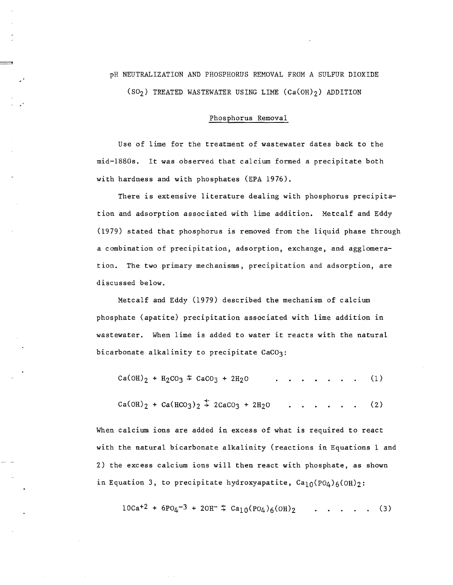### pH NEUTRALIZATION AND PHOSPHORUS REMOVAL FROM A SULFUR DIOXIDE (SO<sub>2</sub>) TREATED WASTEWATER USING LIME  $(Ca(OH))_2$ ) ADDITION

=

#### Phosphorus Removal

Use of lime for the treatment of wastewater dates back to the mid-1880s. It was observed that calcium formed a precipitate both with hardness and with phosphates (EPA 1976).

There is extensive literature dealing with phosphorus precipitation and adsorption associated with lime addition. Metcalf and Eddy (1979) stated that phosphorus is removed from the liquid phase through a combination of precipitation, adsorption, exchange, and agglomeration. The two primary mechanisms, precipitation and adsorption, are discussed below.

Metcalf and Eddy (1979) described the mechanism of calcium phosphate (apatite) precipitation associated with lime addition 1n wastewater. When lime is added to water it reacts with the natural bicarbonate alkalinity to precipitate CaCO3:

 $Ca(OH)_2 + H_2CO_3 \leq CaCO_3 + 2H_2O$  $\begin{array}{cccccccccccccc} . & . & . & . & . & . & . & . & . \end{array}$  $(1)$ 

$$
Ca(OH)_2 + Ca(HCO_3)_2 \stackrel{+}{\rightarrow} 2CaCO_3 + 2H_2O \qquad . . . . . . . . (2)
$$

When calcium ions are added in excess of what is required to react with the natural bicarbonate alkalinity (reactions in Equations 1 and 2) the excess calcium ions will then react with phosphate, as shown in Equation 3, to precipitate hydroxyapatite,  $Ca_{10}(PO_4)_{6}(OH)_2$ :

$$
10Ca^{+2} + 6PO_4^{-3} + 2OH^{-} \div Ca_{10}(PO_4)_6(OH)_2 \qquad . . . . . .
$$
 (3)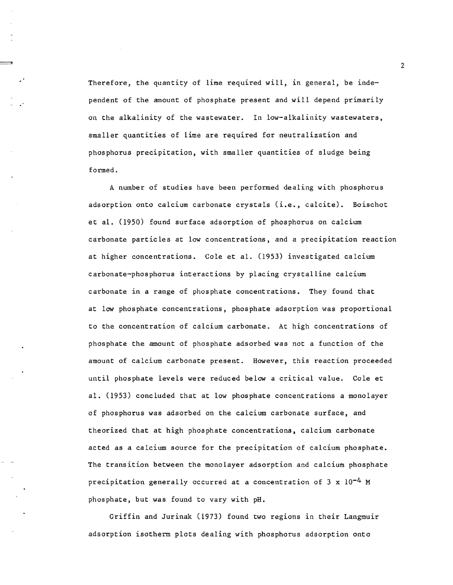Therefore, the quantity of lime required will, in general, be independent of the amount of phosphate present and will depend primarily on the alkalinity of the wastewater. In low-alkalinity wastewaters, smaller quantities of lime are required for neutralization and phosphorus precipitation, with smaller quantities of sludge being formed.

-'"

A number of studies have been performed dealing with phosphorus adsorption onto calcium carbonate crystals (i.e., calcite). Boischot et al. (1950) found surface adsorption of phosphorus on calcium carbonate particles at low concentrations, and a precipitation reaction at higher concentrations. Cole et al. (1953) investigated calcium carbonate-phosphorus interactions by placing crystalline calcium carbonate in a range of phosphate concentrations. They found that at low phosphate concentrations, phosphate adsorption was proportional to the concentration of calcium carbonate. At high concentrations of phosphate the amount of phosphate adsorbed was not a function of the amount of calcium carbonate present. However, this reaction proceeded until phosphate levels were reduced below a critical value. Cole et al. (1953) concluded that at low phosphate concentrations a monolayer of phosphorus was adsorbed on the calcium carbonate surface, and theorized that at high phosphate concentrations, calcium carbonate acted as a calcium source for the precipitation of calcium phosphate. The transition between the monolayer adsorption and calcium phosphate precipitation generally occurred at a concentration of  $3 \times 10^{-4}$  M phosphate, but was found to vary with pH.

Griffin and Jurinak (1973) found two regions in their Langmuir adsorption isotherm plots dealing with phosphorus adsorption onto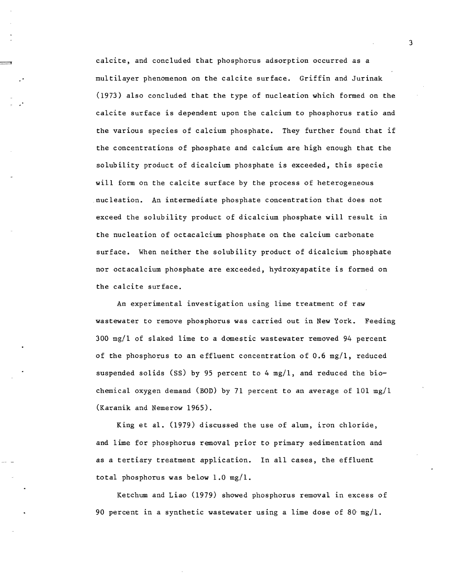calcite, and concluded that phosphorus adsorption occurred as a multilayer phenomenon on the calcite surface. Griffin and Jurinak (1973) also concluded that the type of nucleation which formed on the calcite surface is dependent upon the calcium to phosphorus ratio and the various species of calcium phosphate. They further found that if the concentrations of phosphate and calcium are high enough that the solubility product of dicalcium phosphate is exceeded, this specie will form on the calcite surface by the process of heterogeneous nucleation. An intermediate phosphate concentration that does not exceed the solubility product of dicalcium phosphate will result in the nucleation of octacalcium phosphate on the calcium carbonate surface. When neither the solubility product of dicalcium phosphate nor octacalcium phosphate are exceeded, hydroxyapatite is formed on the calcite surface.

An experimental investigation using lime treatment of raw wastewater to remove phosphorus was carried out in New York. Feeding 300 mg/l of slaked lime to a domestic wastewater removed 94 percent of the phosphorus to an effluent concentration of 0.6 mg/l, reduced suspended solids (SS) by 95 percent to 4  $mg/1$ , and reduced the biochemical oxygen demand (BOD) by 71 percent to an average of  $101$  mg/1 (Karanik and Nemerow 1965).

King et al. (1979) discussed the use of alum, iron chloride, and lime for phosphorus removal prior to primary sedimentation and as a tertiary treatment application. In all cases, the effluent total phosphorus was below 1.0 mg/l.

Ketchum and Liao (1979) showed phosphorus removal in excess of 90 percent in a synthetic wastewater using a lime dose of 80  $mg/1$ .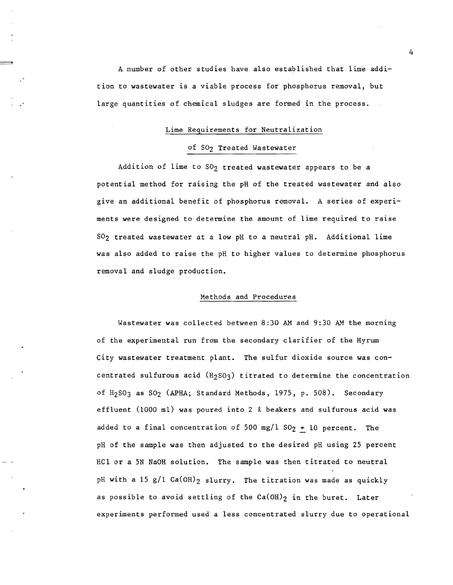A number of other studies have also established that lime addition to wastewater is a viable process for phosphorus removal, but large quantities of chemical sludges are formed in the process.

#### Lime Requirements for Neutralization

#### of SO<sub>2</sub> Treated Wastewater

Addition of lime to  $SO_2$  treated wastewater appears to be a potential method for raising the pH of the treated wastewater and also give an additional benefit of phosphorus removal. A series of experiments were designed to determine the amount of lime required to raise S02 treated wastewater at a low pH to a neutral pH. Additional lime was also added to raise the pH to higher values to determine phosphorus removal and sludge production.

#### Methods and Procedures

Wastewater was collected between 8:30 AM and 9:30 AM the morning of the experimental run from the secondary clarifier of the Hyrum City wastewater treatment plant. The sulfur dioxide source was concentrated sulfurous acid (H2S03) titrated to determine the concentration of H<sub>2</sub>SO<sub>3</sub> as SO<sub>2</sub> (APHA; Standard Methods, 1975, p. 508). Secondary effluent (1000 ml) was poured into 2  $\ell$  beakers and sulfurous acid was added to a final concentration of 500 mg/l  $SO_2 + 10$  percent. The pH of the sample was then adjusted to the desired pH using 25 percent HC1 or a 5N NaOH solution. The sample was then titrated to neutral pH with a 15 g/1 Ca(OH)<sub>2</sub> slurry. The titration was made as quickly as possible to avoid settling of the  $Ca(OH)_2$  in the buret. Later experiments performed used a less concentrated slurry due to operational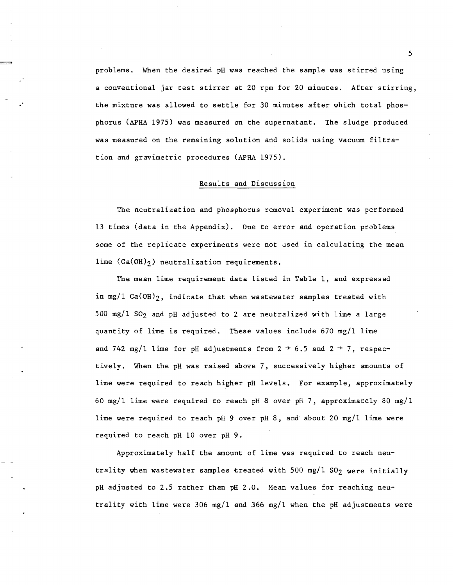problems. When the desired pH was reached the sample was stirred using a conventional jar test stirrer at 20 rpm for 20 minutes. After stirring, the mixture was allowed to settle for 30 minutes after which total phosphorus (APHA 1975) was measured on the supernatant. The sludge produced was measured on the remaining solution and solids using vacuum filtration and gravimetric procedures (APHA 1975).

:::Jl

#### Results and Discussion

The neutralization and phosphorus removal experiment was performed 13 times (data in the Appendix). Due to error and operation problems some of the replicate experiments were not used in calculating the mean lime  $(Ca(OH)_2)$  neutralization requirements.

The mean lime requirement data listed in Table I, and expressed in mg/l  $Ca(OH)_2$ , indicate that when wastewater samples treated with  $500 \text{ mg}/1 \text{ SO}_2$  and pH adjusted to 2 are neutralized with lime a large quantity of lime is required. These values include 670 mg/1 lime and 742 mg/l lime for pH adjustments from  $2 \div 6.5$  and  $2 \div 7$ , respectively. When the pH was raised above 7, successively higher amounts of lime were required to reach higher pH levels. For example, approximately 60 mg/l lime were required to reach pH 8 over pH 7, approximately 80 mg/l lime were required to reach pH 9 over pH 8, and about 20 mg/l lime were required to reach pH 10 over pH 9.

Approximately half the amount of lime was required to reach neutrality when wastewater samples treated with 500 mg/l  $SO_2$  were initially pH adjusted to 2.5 rather than pH 2.0. Mean values for reaching neutrality with lime were 306 mg/l and 366 mg/l when the pH adjustments were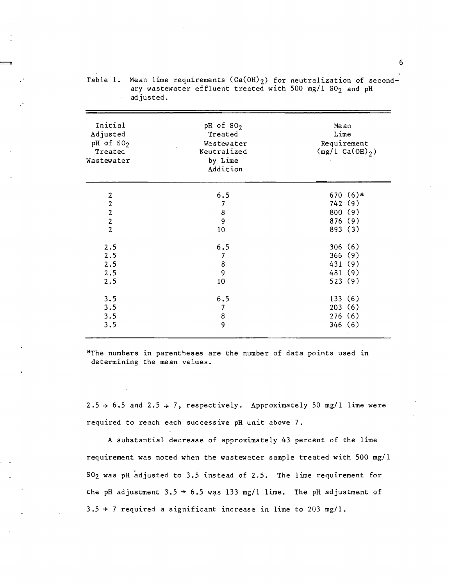| Initial<br>Adjusted<br>pH of SO <sub>2</sub><br>Treated<br>Wastewater | pH of SO <sub>2</sub><br>Treated<br>Wastewater<br>Neutralized<br>by Lime<br>Addition | Me an<br>Lime<br>Requirement<br>$(mg/L Ca(OH)_{2})$               |
|-----------------------------------------------------------------------|--------------------------------------------------------------------------------------|-------------------------------------------------------------------|
| 2222                                                                  | 6.5<br>7<br>$\bf8$<br>9<br>10                                                        | $670(6)$ <sup>a</sup><br>742 (9)<br>800 (9)<br>876 (9)<br>893 (3) |
| 2.5<br>2.5<br>2.5<br>2.5<br>2.5                                       | 6.5<br>$\overline{\jmath}$<br>$\bf8$<br>9<br>10                                      | 306(6)<br>366 (9)<br>431 (9)<br>481 (9)<br>523(9)                 |
| 3.5<br>3.5<br>3.5<br>3.5                                              | 6.5<br>$\overline{I}$<br>8<br>9                                                      | 133(6)<br>203(6)<br>276(6)<br>346(6)                              |

Table 1. Mean lime requirements  $(Ca(OH))_2$  for neutralization of secondary wastewater effluent treated with 500 mg/1  $SO_2$  and pH adjusted.

aThe numbers in parentheses are the number of data points used in determining the mean values.

 $2.5 \div 6.5$  and  $2.5 \div 7$ , respectively. Approximately 50 mg/l lime were required to reach each successive pH unit above 7.

A substantial decrease of approximately 43 percent of the lime requirement was noted when the wastewater sample treated with 500 mg/l 502 was pH adjusted to 3.5 instead of 2.5. The lime requirement for the pH adjustment  $3.5 \div 6.5$  was 133 mg/1 lime. The pH adjustment of  $3.5 \div 7$  required a significant increase in lime to 203 mg/1.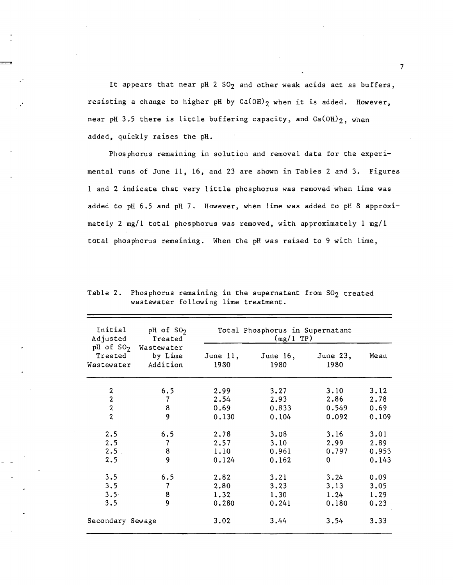It appears that near pH 2 SO<sub>2</sub> and other weak acids act as buffers, resisting a change to higher pH by  $Ca(OH)_{2}$  when it is added. However, near pH 3.5 there is little buffering capacity, and  $Ca(OH)_{2}$ , when added, quickly raises the pH.

Phosphorus remaining in solution and removal data for the experimental runs of June 11, 16, and 23 are shown in Tables 2 and 3. Figures 1 and 2 indicate that very little phosphorus was removed when lime was added to pH 6.5 and pH 7. However, when lime was added to pH 8 approximately 2 mg/l total phosphorus was removed, with approximately 1 mg/l total phosphorus remaining. When the pH was raised to 9 with lime,

| Adjusted         | Initial $pH$ of $SO2$<br>Treated                                           | Total Phosphorus in Supernatant<br>(mg/1 TP) |                     |                  |       |  |  |
|------------------|----------------------------------------------------------------------------|----------------------------------------------|---------------------|------------------|-------|--|--|
|                  | pH of SO <sub>2</sub> Wastewater<br>Treated by Lime<br>Wastewater Addition | June 11,<br>1980                             | June $16$ ,<br>1980 | June 23,<br>1980 | Mean  |  |  |
| 2                | 6.5                                                                        | 2.99                                         | 3.27                | 3.10             | 3.12  |  |  |
| $\overline{2}$   | 7                                                                          | 2.54                                         | 2.93                | 2.86             | 2.78  |  |  |
| $\overline{2}$   | 8                                                                          | 0.69                                         | 0.833               | 0.549            | 0.69  |  |  |
| $\overline{2}$   | 9                                                                          | 0.130                                        | 0.104               | $0.092 -$        | 0.109 |  |  |
| 2.5              | 6.5                                                                        | 2.78                                         | 3.08                | 3.16             | 3.01  |  |  |
| 2.5              | 7                                                                          | 2.57                                         | 3.10                | 2.99             | 2.89  |  |  |
| 2.5 <sub>1</sub> | 8                                                                          | 1.10                                         | 0.961               | 0.797            | 0.953 |  |  |
| 2.5              | 9                                                                          | 0.124                                        | 0.162               | $\mathbf{0}$     | 0.143 |  |  |
| 3.5              | 6.5                                                                        | 2.82                                         | 3.21                | 3.24             | 0.09  |  |  |
| 3.5              | $\overline{\phantom{a}}$                                                   | 2.80                                         | 3.23                | 3.13             | 3.05  |  |  |
| $3.5 -$          | 8                                                                          | 1.32                                         | 1.30                | 1.24             | 1.29  |  |  |
| 3.5              | $\overline{9}$                                                             | 0.280                                        | 0.241               | 0.180            | 0.23  |  |  |
| Secondary Sewage |                                                                            | 3.02                                         | 3.44                | 3.54             | 3.33  |  |  |

Table 2. Phosphorus remaining in the supernatant from  $SO_2$  treated wastewater following lime treatment.

 $\overline{\phantom{a}}$  and  $\overline{\phantom{a}}$  and  $\overline{\phantom{a}}$  and  $\overline{\phantom{a}}$  and  $\overline{\phantom{a}}$  and  $\overline{\phantom{a}}$  and  $\overline{\phantom{a}}$  and  $\overline{\phantom{a}}$  and  $\overline{\phantom{a}}$  and  $\overline{\phantom{a}}$  and  $\overline{\phantom{a}}$  and  $\overline{\phantom{a}}$  and  $\overline{\phantom{a}}$  and  $\overline{\phantom{a}}$  a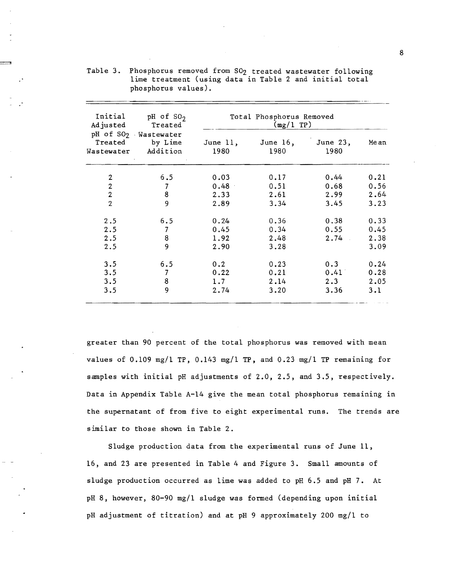| Initial<br>Adjusted | $pH$ of $SO_2$<br>Treated                                          | Total Phosphorus Removed<br>(mg/1 TP) |                     |                  |      |  |
|---------------------|--------------------------------------------------------------------|---------------------------------------|---------------------|------------------|------|--|
| Treated             | pH of SO <sub>2</sub> Wastewater<br>by Lime<br>Wastewater Addition | June 11,<br>1980                      | June $16$ ,<br>1980 | June 23,<br>1980 | Mean |  |
| $\boldsymbol{2}$    | 6.5                                                                | 0.03                                  | 0.17                | 0.44             | 0.21 |  |
| $\sqrt{2}$          | $\overline{7}$                                                     | 0.48                                  | 0.51                | 0.68             | 0.56 |  |
| $\overline{2}$      | 8                                                                  | 2.33                                  | 2.61                | 2.99             | 2.64 |  |
| $\overline{2}$      | 9                                                                  | 2.89                                  | 3.34                | 3.45             | 3.23 |  |
| 2.5                 | 6.5                                                                | 0.24                                  | 0.36                | 0.38             | 0.33 |  |
| 2.5                 | $\overline{7}$                                                     | 0.45                                  | 0.34                | 0.55             | 0.45 |  |
| 2.5                 | 8                                                                  | 1.92                                  | 2.48                | 2.74             | 2.38 |  |
| 2.5                 | 9                                                                  | 2.90                                  | 3.28                |                  | 3.09 |  |
| 3.5                 | 6.5                                                                |                                       |                     |                  | 0.24 |  |
| 3.5                 | 7                                                                  | 0.22                                  | 0.21                | 0.41             | 0.28 |  |
| 3.5                 | 8                                                                  | 1.7                                   | 2.14                | 2.3              | 2.05 |  |
| 3.5                 | 9                                                                  | 2.74                                  | 3.20                | 3.36             | 3.1  |  |
|                     |                                                                    | 0.2                                   | 0.23                | 0.3              |      |  |

Table 3. Phosphorus removed from S02 treated wastewater following lime treatment (using data in Table 2 and initial total phosphorus values).

greater than 90 percent of the total phosphorus was removed with mean values of 0.109 mg/l TP, 0.143 mg/l TP, and 0.23 mg/l TP remaining for samples with initial pH adjustments of 2.0, 2.5, and 3.5, respectively. Data in Appendix Table A-14 give the mean total phosphorus remaining in the supernatant of from five to eight experimental runs. The trends are similar to those shown in Table 2.

Sludge production data from the experimental runs of June 11, 16, and 23 are presented in Table 4 and Figure 3. Small amounts of sludge production occurred as lime was added to pH 6.5 and pH 7. At pH 8, however, 80-90 mg/l sludge was formed (depending upon initial pH adjustment of titration) and at pH 9 approximately 200 mg/l to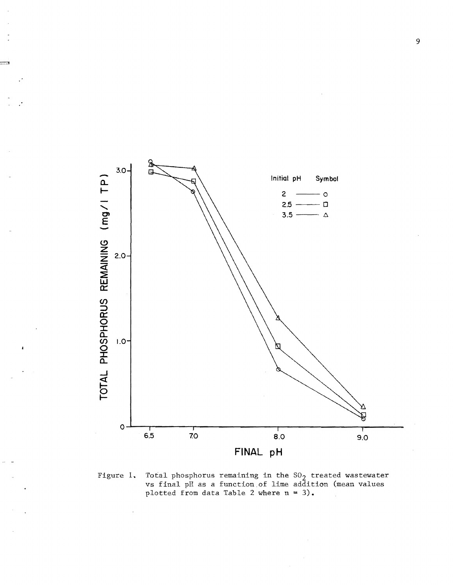

Figure 1. Total phosphorus remaining in the  $SO_2$  treated wastewater vs final pH as a function of lime addition (mean values plotted from data Table 2 where  $n = 3$ .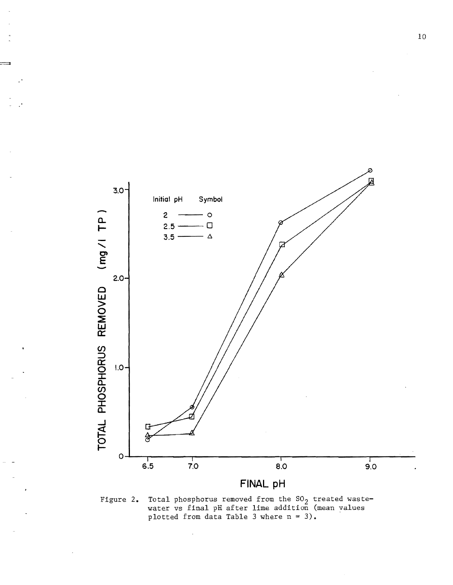

Figure 2. Total phosphorus removed from the SO<sub>2</sub> treated wastewater vs final pH after lime addition (mean values plotted from data Table 3 where  $n = 3$ .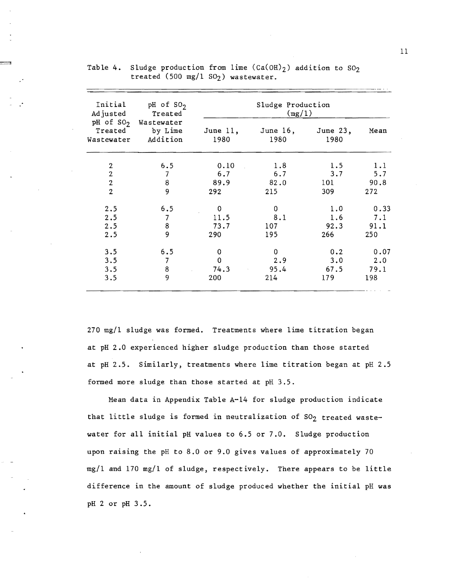| Initial<br>Adjusted              | pH of $SO_2$<br>Treated                                 | Sludge Production<br>(mg/1) |                     |                    |             |  |  |
|----------------------------------|---------------------------------------------------------|-----------------------------|---------------------|--------------------|-------------|--|--|
| Treated<br>Wastewater            | pH of SO <sub>2</sub> Wastewater<br>by Lime<br>Addition | June $11,$<br>1980          | June $16$ ,<br>1980 | June $23,$<br>1980 | Mean        |  |  |
| 2                                | 6.5                                                     | 0.10                        | 1.8                 | 1.5                | 1.1         |  |  |
| $\overline{2}$                   | 7                                                       | 6.7                         | 6.7                 | 3.7                | 5.7         |  |  |
| $\overline{2}$<br>$\overline{2}$ | 8<br>9                                                  | 89.9<br>292                 | 82.0<br>215         | 101<br>309         | 90.8<br>272 |  |  |
|                                  |                                                         |                             |                     |                    |             |  |  |
| 2.5                              | 6.5                                                     | 0                           | 0                   | 1.0                | 0.33        |  |  |
| 2.5                              | 7                                                       | 11.5                        | 8.1                 | 1.6                | 7.1         |  |  |
| 2.5                              | 8                                                       | 73.7                        | 107                 | 92.3               | 91.1        |  |  |
| 2.5                              | 9                                                       | 290                         | 195                 | 266                | 250         |  |  |
| 3.5                              | 6.5                                                     | 0                           | 0                   | 0.2                | 0.07        |  |  |
| 3.5                              | 7                                                       | 0                           | 2.9                 | 3.0                | 2.0         |  |  |
| 3.5                              | 8                                                       | 74.3                        | 95.4                | 67.5               | 79.1        |  |  |
| 3.5                              | 9                                                       | 200                         | 214                 | 179                | 198         |  |  |

Table 4. Sludge production from lime  $(Ca(OH)_2)$  addition to  $SO_2$ treated (500 mg/l S02) wastewater.

:::::::::::

270 mg/l sludge was formed. Treatments where lime titration began at pH 2.0 experienced higher sludge production than those started at pH 2.5. Similarly, treatments where lime titration began at pH 2.5 formed more sludge than those started at pH 3.5.

Mean data in Appendix Table A-14 for sludge production indicate that little sludge is formed in neutralization of  $SO_2$  treated wastewater for all initial pH values to 6.5 or 7.0. Sludge production upon raising the pH to 8.0 or 9.0 gives values of approximately 70 mg/l and 170 mg/l of sludge, respectively. There appears to be little difference in the amount of sludge produced whether the initial pH was pH 2 or pH 3.5.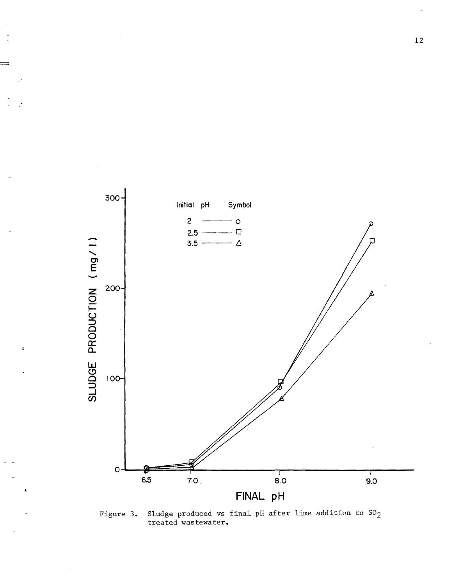

Figure 3. Sludge produced vs final pH after lime addition to S02 treated wastewater.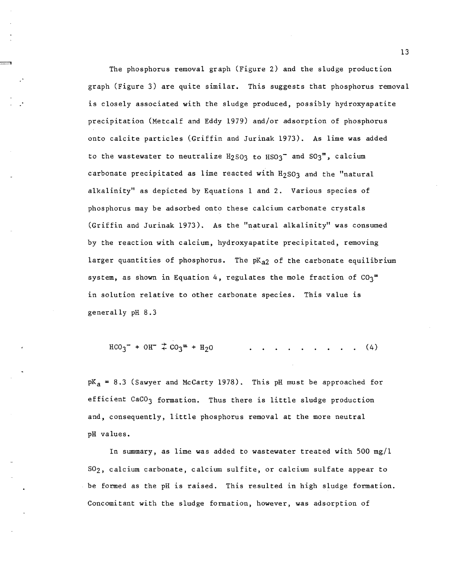The phosphorus removal graph (Figure 2) and the sludge production graph (Figure 3) are quite similar. This suggests that phosphorus removal is closely associated with the sludge produced, possibly hydroxyapatite precipitation (Metcalf and Eddy 1979) and/or adsorption of phosphorus onto calcite particles (Griffin and Jurinak 1973). As lime *was* added to the wastewater to neutralize  $H_2$ SO3 to  $H$ SO3<sup>-</sup> and SO3<sup>-\*</sup>, calcium carbonate precipitated as lime reacted with  $H_2$  SO3 and the "natural alkalinity" as depicted by Equations 1 and 2. Various species of phosphorus may be adsorbed onto these calcium carbonate crystals (Griffin and Jurinak 1973). As the "natural alkalinity" was consumed by the reaction with calcium, hydroxyapatite precipitated, removing larger quantities of phosphorus. The  $pK_{a2}$  of the carbonate equilibrium system, as shown in Equation 4, regulates the mole fraction of  $CO_3$ <sup>=</sup> in solution relative to other carbonate species. This value is generally pH 8.3

$$
HCO_3^- + OH^- \stackrel{+}{\downarrow} CO_3 = + H_2O \qquad \qquad \qquad \ldots \qquad \qquad \ldots \qquad \ldots \qquad (4)
$$

 $pK_a = 8.3$  (Sawyer and McCarty 1978). This pH must be approached for efficient CaCO<sub>3</sub> formation. Thus there is little sludge production and, consequently, little phosphorus removal at the more neutral pH values.

In summary, as lime was added to wastewater treated with 500 mg/l S02, calcium carbonate, calcium sulfite, or calcium sulfate appear to be formed as the pH is raised. This resulted in high sludge formation. Concomitant with the sludge formation, however, *was* adsorption of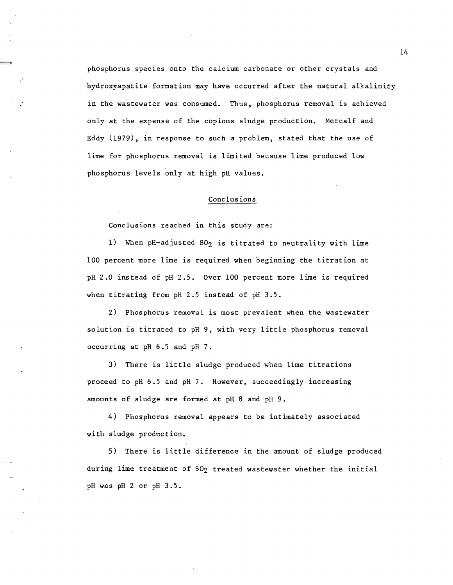phosphorus species onto the calcium carbonate or other crystals and hydroxyapatite formation may have occurred after the natural alkalinity in the wastewater was consumed. Thus, phosphorus removal is achieved only at the expense of the copious sludge production. Metcalf and Eddy (1979), in response to such a problem, stated that the use of lime for phosphorus removal is limited because lime produced low phosphorus levels only at high pH values.

#### Conclusions

Conclusions reached in this study are:

1) When pH-adjusted  $SO_2$  is titrated to neutrality with lime 100 percent more lime is required when beginning the titration at pH 2.0 instead of pH 2.5. Over 100 percent more lime is required when titrating from pH 2.5 instead of pH 3.5.

2) Phosphorus removal is most prevalent when the wastewater solution is titrated to pH 9, with very little phosphorus removal occurring at pH 6.5 and pH 7.

3) There is little sludge produced when lime titrations proceed to pH 6.5 and pH 7. However, succeedingly increasing amounts of sludge are formed at pH 8 and pH 9.

4) Phosphorus removal appears to be intimately associated with sludge production.

5) There is little difference in the amount of sludge produced during lime treatment of 802 treated wastewater whether the initial pH was pH 2 or pH 3.5.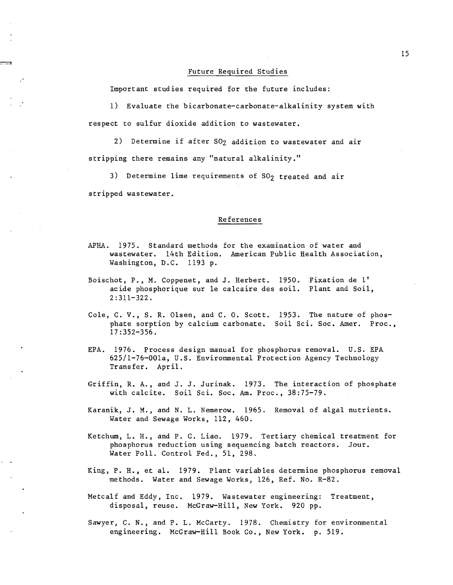#### Future Required Studies

Important studies required for the future includes:

1) Evaluate the bicarbonate-carbonate-alka1inity system with respect to sulfur dioxide addition to wastewater.

2) Determine if after S02 addition to wastewater and air stripping there remains any "natural alkalinity."

3) Determine lime requirements of  $SO<sub>2</sub>$  treated and air stripped wastewater.

#### References

- APHA. 1975. Standard methods for the examination of water and wastewater. 14th Edition. American Public Health Association, Washington, D.C. 1193 p.
- Boischot, P., M. Coppenet, and J. Herbert. 1950. Fixation de I' acide phosphorique sur Ie calcaire des soil. Plant and Soil, 2:311-322.
- Cole, C. V., S. R. Olsen, and C. O. Scott. 1953. The nature of phosphate sorption by calcium carbonate. Soil Sci. Soc. Amer. Proc., 17:352-356.
- EPA. 1976. Process design manual for phosphorus removal. U.S. EPA 625/1-76-001a, U.S. Environmental Protection Agency Technology Transfer. April.
- Griffin, R. A., and J. J. Jurinak. 1973. The interaction of phosphate with calcite. Soil Sci. Soc. Am. Proc., 38:75-79.
- Karanik, J. M., and N. L. Nemerow. 1965. Removal of algal nutrients. Water and Sewage Works, 112, 460.
- Ketchum, L. H., and P. C. Liao. 1979. Tertiary chemical treatment for phosphorus reduction using sequencing batch reactors. Jour. Water Poll. Control Fed., 51, 298.
- King, P. H., et al. 1979. Plant variables determine phosphorus removal methods. Water and Sewage Works, 126, Ref. No. R-82.
- Metcalf and Eddy, Inc. 1979. Wastewater engineering: Treatment, disposal, reuse. McGraw-Hill, New York. 920 pp.

Sawyer, C. N., and P. L. McCarty. 1978. Chemistry for environmental engineering. McGraw-Hill Book Co., New York. p. 519.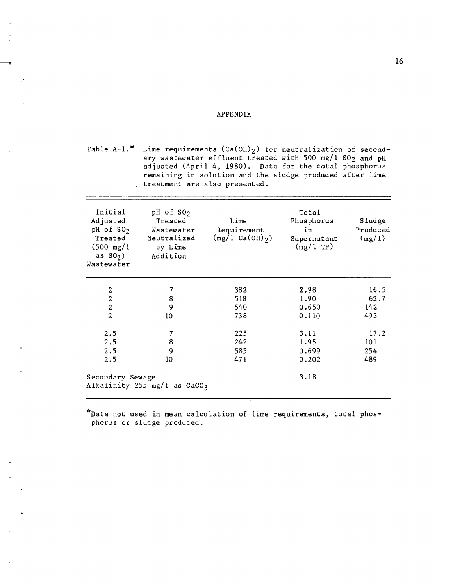#### APPENDIX

Table A-1.\* Lime requirements  $(\text{Ca(OH)}_2)$  for neutralization of secondary wastewater effluent treated with 500 mg/l 802 and pH adjusted (April 4, 1980). Data for the total phosphorus remaining in solution and the sludge produced after lime treatment are also presented.

| Initial<br>Adjusted<br>pH of $SO2$<br>Treated<br>$(500 \text{ mg}/1)$<br>as $S0_2$ )<br>Wastewater | pH of $SO2$<br>Treated<br>Wastewater<br>Neutralized<br>by Lime<br>Addition | Lime<br>Requirement<br>$(mg/1 Ca(OH)_{2})$ | Total<br>Phosphorus<br>in<br>Supernatant<br>(mg/LTP) | Sludge<br>Produced<br>(mg/1) |
|----------------------------------------------------------------------------------------------------|----------------------------------------------------------------------------|--------------------------------------------|------------------------------------------------------|------------------------------|
| 2                                                                                                  | 7                                                                          | $382 -$                                    | 2.98                                                 | 16.5                         |
| $\overline{c}$                                                                                     | 8                                                                          | 518                                        | 1.90                                                 | 62.7                         |
| $\overline{c}$                                                                                     | 9                                                                          | 540                                        | 0.650                                                | 142                          |
| $\overline{2}$                                                                                     | 10                                                                         | 738                                        | 0.110                                                | 493                          |
| 2.5                                                                                                | 7                                                                          | 225                                        | 3.11                                                 | 17.2                         |
| 2.5                                                                                                | 8                                                                          | 242                                        | 1.95                                                 | 101                          |
| 2.5                                                                                                | 9                                                                          | 585                                        | 0.699                                                | 254                          |
| 2.5                                                                                                | 10                                                                         | 471                                        | 0.202                                                | 489                          |
| Secondary Sewage                                                                                   | Alkalinity 255 mg/l as $CaCO3$                                             |                                            | 3.18                                                 |                              |

\*Data not used in mean calculation of lime requirements, total phosphorus or sludge produced.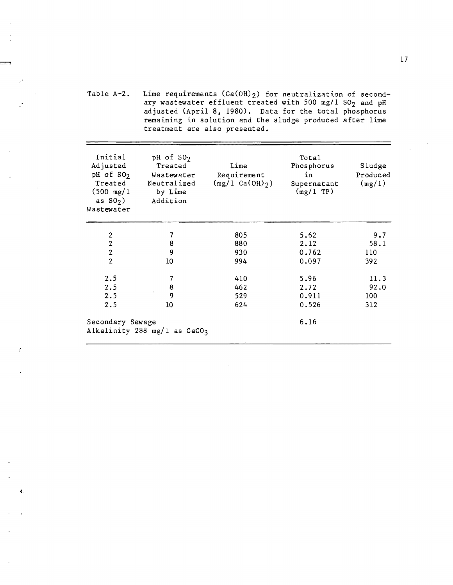Table A-2. Lime requirements  $(Ca(OH)_2)$  for neutralization of secondary wastewater effluent treated with 500 mg/l  $SO_2$  and pH adjusted (April 8, 1980). Data for the total phosphorus remaining in solution and the sludge produced after lime treatment are also presented.

| Initial<br>Adjusted<br>pH of $SO2$<br>Treated<br>$(500 \text{ mg}/1)$<br>as $S0_2$ )<br>Wastewater | pH of $SO2$<br>Treated<br>Wastewater<br>Neutralized<br>by Lime<br>Addition | Lime<br>Requirement<br>$(mg/l Ca(OH)_{2})$ | Total<br>Phosphorus<br>in<br>Supernatant<br>$(mg/l$ TP) | Sludge<br>Produced<br>(mg/1) |
|----------------------------------------------------------------------------------------------------|----------------------------------------------------------------------------|--------------------------------------------|---------------------------------------------------------|------------------------------|
| $\mathbf{2}$                                                                                       | 7                                                                          | 805                                        | 5.62                                                    | 9.7                          |
| $\overline{2}$                                                                                     | 8                                                                          | 880                                        | 2.12                                                    | 58.1                         |
| $\overline{2}$                                                                                     | 9                                                                          | 930                                        | 0.762                                                   | 110                          |
| $\overline{2}$                                                                                     | 10                                                                         | 994                                        | 0.097                                                   | 392                          |
| 2.5                                                                                                | 7                                                                          | 410                                        | 5.96                                                    | 11.3                         |
| 2.5                                                                                                | 8                                                                          | 462                                        | 2.72                                                    | 92.0                         |
| 2.5                                                                                                | 9                                                                          | 529                                        | 0.911                                                   | 100                          |
| 2.5                                                                                                | 10                                                                         | 624                                        | 0.526                                                   | 312                          |
| Secondary Sewage                                                                                   | Alkalinity 288 mg/l as CaCO3                                               |                                            | 6.16                                                    |                              |

t.

 $\mathcal{L}$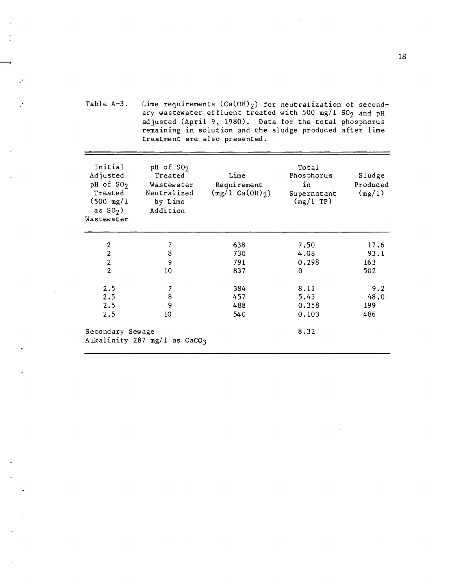Table A-3. Lime requirements  $(Ca(OH)_2)$  for neutralization of secondary wastewater effluent treated with 500 mg/l  $SO_2$  and pH adjusted (April 9, 1980). Data for the total phosphorus remaining in solution and the sludge produced after lime treatment are also presented.

| Initial<br>Adjusted<br>$pH$ of $SO2$<br>Treated<br>$(500 \text{ mg}/1)$<br>as $SO2$ )<br>Wastewater | pH of SO <sub>2</sub><br>Treated<br>Wastewater<br>Neutralized<br>by Lime<br>Addition | Lime<br>Requirement<br>$(mg/1 Ca(OH)_{2})$ | Total<br>Phosphorus<br>in<br>Supernatant<br>(mg/1 TP) | Sludge<br>Produced<br>(mg/1) |
|-----------------------------------------------------------------------------------------------------|--------------------------------------------------------------------------------------|--------------------------------------------|-------------------------------------------------------|------------------------------|
| $\boldsymbol{2}$                                                                                    | 7                                                                                    | 638                                        | 7.50                                                  | 17.6                         |
| $\overline{2}$                                                                                      | $\bf 8$                                                                              | 730                                        | 4.08                                                  | 93.1                         |
| $\boldsymbol{2}$                                                                                    | 9                                                                                    | 791                                        | 0.298                                                 | 163                          |
| $\overline{2}$                                                                                      | 10                                                                                   | 837                                        | $\mathbf 0$                                           | 502                          |
| 2.5                                                                                                 | 7                                                                                    | 384                                        | 8.11                                                  | 9.2                          |
| 2.5                                                                                                 | $\bf8$                                                                               | 457                                        | 5.43                                                  | 48.0                         |
| 2.5                                                                                                 | 9                                                                                    | 488                                        | 0.358                                                 | 199                          |
| 2.5                                                                                                 | 10                                                                                   | 540                                        | 0.103                                                 | 486                          |
| Secondary Sewage                                                                                    | Alkalinity 287 mg/l as $CaCO3$                                                       |                                            | 8.32                                                  |                              |
|                                                                                                     |                                                                                      |                                            |                                                       |                              |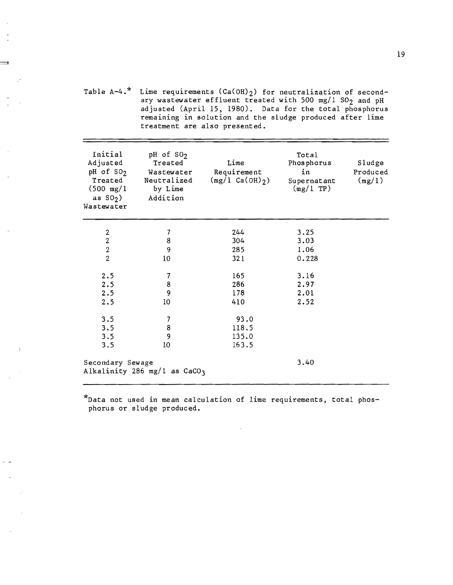Table  $A-4$ .\* Lime requirements  $(Ca(OH))$  for neutralization of secondary wastewater effluent treated with 500 mg/l  $SO_2$  and pH adjusted (April 15, 1980). Data for the total phosphorus remaining in solution and the sludge produced after lime treatment are also presented.

| Initial<br>Adjusted<br>pH of SO <sub>2</sub><br>Treated<br>$(500 \text{ mg}/1)$<br>as $S0_2$ )<br>Wastewater | pH of SO <sub>2</sub><br>Treated<br>Wastewater<br>Neutralized<br>by Lime<br>Addition | Lime<br>Requirement<br>$(mg/1 Ca(OH)_{2})$ | Total<br>Phosphorus<br>in<br>Supernatant<br>$(\text{mg}/1 \text{ TP})$ | Sludge<br>Produced<br>(mg/1) |
|--------------------------------------------------------------------------------------------------------------|--------------------------------------------------------------------------------------|--------------------------------------------|------------------------------------------------------------------------|------------------------------|
| 2                                                                                                            | 7                                                                                    | 244                                        | 3.25                                                                   |                              |
| $\overline{c}$                                                                                               | 8                                                                                    | 304                                        | 3.03                                                                   |                              |
| $\frac{2}{2}$                                                                                                | 9                                                                                    | 285                                        | 1.06                                                                   |                              |
|                                                                                                              | 10 <sup>°</sup>                                                                      | 321                                        | 0.228                                                                  |                              |
| 2.5                                                                                                          | 7                                                                                    | 165                                        | 3.16                                                                   |                              |
| 2.5                                                                                                          | 8                                                                                    | 286                                        | 2.97                                                                   |                              |
| 2.5                                                                                                          | 9                                                                                    | 178                                        | 2.01                                                                   |                              |
| 2.5                                                                                                          | 10                                                                                   | 410                                        | 2.52                                                                   |                              |
| 3.5                                                                                                          | $\overline{7}$                                                                       | 93.0                                       |                                                                        |                              |
| 3.5                                                                                                          | 8                                                                                    | 118.5                                      |                                                                        |                              |
| 3.5                                                                                                          | 9                                                                                    | 135.0                                      |                                                                        |                              |
| 3.5                                                                                                          | 10                                                                                   | 163.5                                      |                                                                        |                              |
| Secondary Sewage                                                                                             | Alkalinity 286 mg/l as $CaCO3$                                                       |                                            | 3.40                                                                   |                              |

\*Data not used in mean calculation of lime requirements, total phosphorus or sludge produced.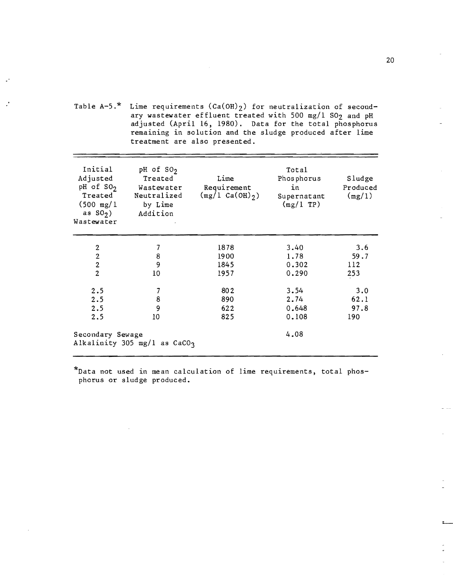Table  $A-5.*$  Lime requirements  $(Ca(OH)_2)$  for neutralization of secondary wastewater effluent treated with 500 mg/1 SO<sub>2</sub> and pH adjusted (April 16, 1980). Data for the total phosphorus remaining in solution and the sludge produced after lime treatment are also presented.

| Initial<br>Adjusted<br>pH of $SO2$<br>Treated<br>$(500 \text{ mg}/1)$<br>as $SO2$ )<br>Wastewater | pH of $SO2$<br>Treated<br>Wastewater<br>Neutralized<br>by Lime<br>Addition | Lime<br>Requirement<br>$(mg/1 Ca(OH)_{2})$ | Total<br>Phosphorus<br>in<br>Supernatant<br>(mg/1 TP) | Sludge<br>Produced<br>(mg/1) |
|---------------------------------------------------------------------------------------------------|----------------------------------------------------------------------------|--------------------------------------------|-------------------------------------------------------|------------------------------|
| $\overline{c}$                                                                                    | $\overline{\mathcal{I}}$                                                   | 1878                                       | 3.40                                                  | 3.6                          |
| $\overline{c}$                                                                                    | 8                                                                          | 1900                                       | 1.78                                                  | 59.7                         |
| $\overline{2}$                                                                                    | 9                                                                          | 1845                                       | 0.302                                                 | 112                          |
| $\overline{2}$                                                                                    | 10                                                                         | 1957                                       | 0.290                                                 | 253                          |
| 2.5                                                                                               | 7                                                                          | 802                                        | 3.54                                                  | 3.0                          |
| 2.5                                                                                               | 8                                                                          | 890                                        | 2.74                                                  | 62.1                         |
| 2.5                                                                                               | 9                                                                          | 622                                        | 0.648                                                 | 97.8                         |
| 2.5                                                                                               | 10                                                                         | 825                                        | 0.108                                                 | 190                          |
| Secondary Sewage                                                                                  | Alkalinity 305 mg/l as $CaCO3$                                             |                                            | 4.08                                                  |                              |

\*Data not used in mean calculation of lime requirements, total phosphorus or sludge produced.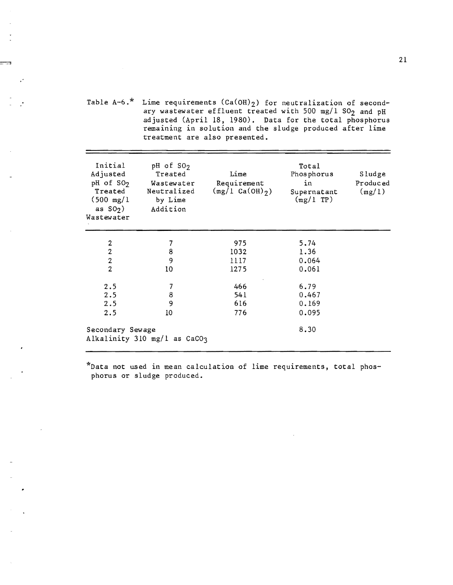Table A-6.\* Lime requirements  $(\text{Ca(OH)}_{2})$  for neutralization of secondary wastewater effluent treated with 500 mg/l  $SO_2$  and pH adjusted CApril 18, 1980). Data for the total phosphorus remaining in solution and the sludge produced after lime treatment are also presented.

| Initial<br>Adjusted<br>pH of SO <sub>2</sub><br>Treated<br>$(500 \text{ mg}/1)$<br>as $S(0, 0)$<br>Wastewater | pH of $SO2$<br>Treated<br>Wastewater<br>Neutralized<br>by Lime<br>Addition | Lime<br>Requirement<br>$(\text{mg}/1 \text{ Ca(OH)}_2)$ | Total<br>Phosphorus<br>in<br>Supernatant<br>(mg/1 TP) | Sludge<br>Produced<br>(mg/1) |
|---------------------------------------------------------------------------------------------------------------|----------------------------------------------------------------------------|---------------------------------------------------------|-------------------------------------------------------|------------------------------|
| $\boldsymbol{2}$                                                                                              | 7                                                                          | 975                                                     | 5.74                                                  |                              |
| $\overline{2}$                                                                                                | 8                                                                          | 1032                                                    | 1.36                                                  |                              |
| $\overline{2}$                                                                                                | 9                                                                          | 1117                                                    | 0.064                                                 |                              |
| $\overline{2}$                                                                                                | 10                                                                         | 1275                                                    | 0.061                                                 |                              |
| 2.5                                                                                                           | 7                                                                          | 466                                                     | 6.79                                                  |                              |
| 2.5                                                                                                           | 8                                                                          | 541                                                     | 0.467                                                 |                              |
| 2.5                                                                                                           | 9                                                                          | 616                                                     | 0.169                                                 |                              |
| 2.5                                                                                                           | 10                                                                         | 776                                                     | 0.095                                                 |                              |
| Secondary Sewage                                                                                              | Alkalinity 310 mg/l as CaCO3                                               |                                                         | 8.30                                                  |                              |

\*Data not used in mean calculation of lime requirements, total phosphorus or sludge produced.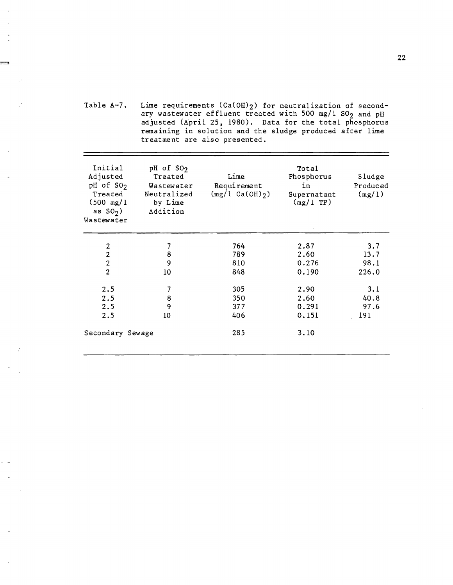Table A-7. Lime requirements  $(Ca(OH))$  for neutralization of secondary wastewater effluent treated with 500 mg/l  $SO_2$  and pH adjusted (April 25, 1980). Data for the total phosphorus remaining in solution and the sludge produced after lime treatment are also presented.

| Initial<br>Adjusted<br>pH of SO <sub>2</sub><br>Treated<br>$(500 \text{ mg}/1)$<br>as $SO2$ )<br>Wastewater | pH of SO <sub>2</sub><br>Treated<br>Wastewater<br>Neutralized<br>by Lime<br>Addition | Lime<br>Requirement<br>$(mg/1 Ca(OH)_{2})$ | Total<br>Phosphorus<br>in<br>Supernatant<br>$(mg/1)$ TP) | Sludge<br>Produced<br>(mg/1) |
|-------------------------------------------------------------------------------------------------------------|--------------------------------------------------------------------------------------|--------------------------------------------|----------------------------------------------------------|------------------------------|
| $\boldsymbol{2}$                                                                                            | 7                                                                                    | 764                                        | 2.87                                                     | 3.7                          |
| $\overline{\mathbf{c}}$                                                                                     | 8                                                                                    | 789                                        | 2.60                                                     | 13.7                         |
| $\overline{2}$                                                                                              | 9                                                                                    | 810                                        | 0.276                                                    | 98.1                         |
| $\overline{2}$                                                                                              | 10                                                                                   | 848                                        | 0.190                                                    | 226.0                        |
| 2.5                                                                                                         | 7                                                                                    | 305                                        | 2.90                                                     | 3.1                          |
| 2.5                                                                                                         | 8                                                                                    | 350                                        | 2.60                                                     | 40.8                         |
| 2.5                                                                                                         | 9                                                                                    | 377                                        | 0.291                                                    | 97.6                         |
| 2.5                                                                                                         | 10                                                                                   | 406                                        | 0.151                                                    | 191                          |
| Secondary Sewage                                                                                            |                                                                                      | 285                                        | 3.10                                                     |                              |
|                                                                                                             |                                                                                      |                                            |                                                          |                              |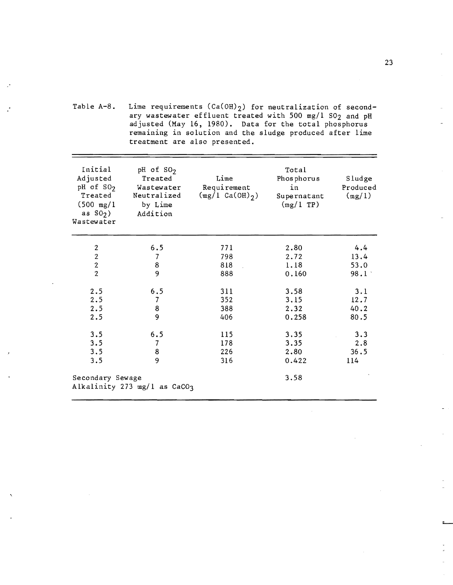Table A-8. Lime requirements  ${\rm (Ca(OH)_2)}$  for neutralization of secondary wastewater effluent treated with 500 mg/l S02 and pH adjusted (May 16, 1980). Data for the total phosphorus remaining in solution and the sludge produced after lime treatment are also presented.

| Initial<br>Adjusted<br>$pH$ of $SO2$<br>Treated<br>$(500 \text{ mg}/1)$<br>as $S()$<br>Wastewater | pH of $SO2$<br>Treated<br>Wastewater<br>Neutralized<br>by Lime<br>Addition | Lime<br>Requirement<br>$(\text{mg}/1 \text{ Ca(OH)}_2)$ | Total<br>Phosphorus<br>in<br>Supernatant<br>(mg/1 TP) | Sludge<br>Produced<br>(mg/1) |
|---------------------------------------------------------------------------------------------------|----------------------------------------------------------------------------|---------------------------------------------------------|-------------------------------------------------------|------------------------------|
| $\overline{2}$                                                                                    | 6.5                                                                        | 771                                                     | 2.80                                                  | 4.4                          |
| $\overline{2}$                                                                                    | $\overline{7}$                                                             | 798                                                     | 2.72                                                  | 13.4                         |
|                                                                                                   | 8                                                                          | 818                                                     | 1.18                                                  | 53.0                         |
| $\frac{2}{2}$                                                                                     | 9                                                                          | 888                                                     | 0.160                                                 | 98.1                         |
| 2.5                                                                                               | 6.5                                                                        | 311                                                     | 3.58                                                  | 3.1                          |
| 2.5                                                                                               | 7                                                                          | 352                                                     | 3.15                                                  | 12.7                         |
| 2.5                                                                                               | 8                                                                          | 388                                                     | 2.32                                                  | 40.2                         |
| 2.5                                                                                               | 9                                                                          | 406                                                     | 0.258                                                 | 80.5                         |
| 3.5                                                                                               | 6.5                                                                        | 115                                                     | 3.35                                                  | 3.3                          |
| 3.5                                                                                               | $\overline{7}$                                                             | 178                                                     | 3.35                                                  | 2.8                          |
| 3.5                                                                                               | 8                                                                          | 226                                                     | 2.80                                                  | 36.5                         |
| 3.5                                                                                               | 9                                                                          | 316                                                     | 0.422                                                 | 114                          |
| Secondary Sewage                                                                                  | Alkalinity 273 mg/l as CaCO3                                               |                                                         | 3.58                                                  |                              |

-" -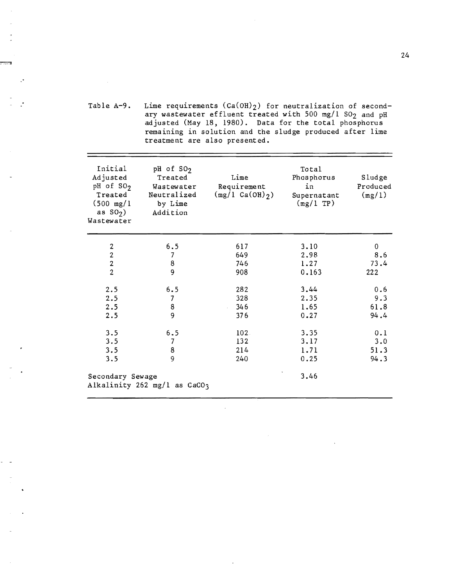Table A-9. Lime requirements  $(Ca(OH)_2)$  for neutralization of secondary wastewater effluent treated with 500 mg/l  $SO_2$  and pH adjusted (May 18, 1980). Data for the total phosphorus remaining in solution and the sludge produced after lime treatment are also presented.

| Initial<br>Adjusted<br>pH of $SO2$<br>Treated<br>$(500 \text{ mg}/1)$<br>as $S()$<br>Wastewater | pH of SO <sub>2</sub><br>Treated<br>Wastewater<br>Neutralized<br>by Lime<br>Addition | Lime<br>Requirement<br>$(mg/1 Ca(OH)_2)$ | Total<br>Phosphorus<br>in<br>Supernatant<br>(mg/1 TP) | Sludge<br>Produced<br>(mg/1) |
|-------------------------------------------------------------------------------------------------|--------------------------------------------------------------------------------------|------------------------------------------|-------------------------------------------------------|------------------------------|
|                                                                                                 | 6.5                                                                                  | 617                                      | 3.10                                                  | 0                            |
| $\frac{2}{2}$                                                                                   | 7                                                                                    | 649                                      | 2.98                                                  | 8.6                          |
| $\frac{2}{2}$                                                                                   | 8                                                                                    | 746                                      | 1.27                                                  | 73.4                         |
|                                                                                                 | 9                                                                                    | 908                                      | 0.163                                                 | 222                          |
| 2.5                                                                                             | 6.5                                                                                  | 282                                      | 3.44                                                  | 0.6                          |
| 2.5                                                                                             | $\overline{7}$                                                                       | 328                                      | 2.35                                                  | 9.3                          |
| 2.5                                                                                             | 8                                                                                    | 346                                      | 1.65                                                  | 61.8                         |
| 2.5                                                                                             | $\overline{9}$                                                                       | 376                                      | 0.27                                                  | 94.4                         |
| 3.5                                                                                             | 6.5                                                                                  | 102.                                     | 3.35                                                  | 0.1                          |
| 3.5                                                                                             | 7                                                                                    | 132                                      | 3.17                                                  | 3.0                          |
| 3.5                                                                                             | 8                                                                                    | 214                                      | 1.71                                                  | 51.3                         |
| 3.5                                                                                             | 9                                                                                    | 240                                      | 0.25                                                  | 94.3                         |
| Secondary Sewage                                                                                | Alkalinity 262 mg/l as CaCO3                                                         |                                          | 3.46                                                  |                              |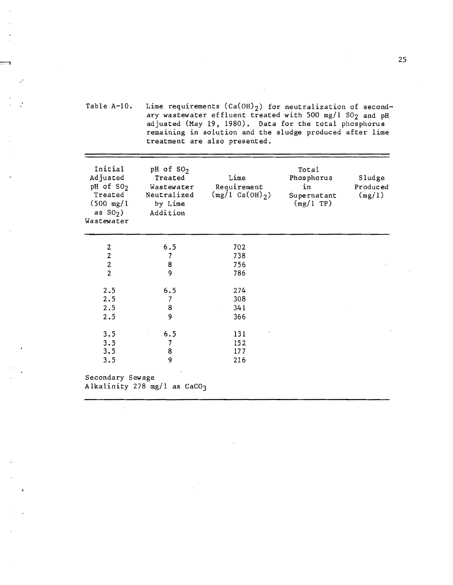Table A-lO. Lime requirements  $(\text{Ca(OH)}_{2})$  for neutralization of secondary wastewater effluent treated with 500 mg/l SO<sub>2</sub> and pH adjusted (May 19. 1980). Data for the total phosphorus remaining in solution and the sludge produced after lime treatment are also presented.

| Initial<br>Adjusted<br>pH of SO <sub>2</sub><br>Treated<br>$(500 \text{ mg}/1)$<br>as $S_2$ )<br>Wastewater | pH of $SO2$<br>Treated<br>Wastewater<br>Neutralized<br>by Lime<br>Addition | Lime<br>Requirement<br>$(mg/1 Ca(OH)_{2})$ | Total<br>Phosphorus<br>in<br>Supernatant<br>(mg/1 TP) | Sludge<br>Produced<br>(mg/1) |
|-------------------------------------------------------------------------------------------------------------|----------------------------------------------------------------------------|--------------------------------------------|-------------------------------------------------------|------------------------------|
| $\mathbf 2$                                                                                                 | 6.5                                                                        | 702                                        |                                                       |                              |
| $\overline{2}$                                                                                              | 7                                                                          | 738                                        |                                                       |                              |
|                                                                                                             | 8                                                                          | 756                                        |                                                       |                              |
| $\frac{2}{2}$                                                                                               | 9                                                                          | 786                                        |                                                       |                              |
| 2.5                                                                                                         | 6.5                                                                        | 274                                        |                                                       |                              |
| 2.5                                                                                                         | $\overline{7}$                                                             | 308                                        |                                                       |                              |
| 2.5                                                                                                         | 8                                                                          | 341                                        |                                                       |                              |
| 2.5                                                                                                         | $\overline{9}$                                                             | 366                                        |                                                       |                              |
| 3.5                                                                                                         | 6.5                                                                        | 131                                        |                                                       |                              |
| 3.5                                                                                                         | $\overline{7}$                                                             | 152                                        |                                                       |                              |
| 3.5                                                                                                         | 8                                                                          | 177                                        |                                                       |                              |
| 3.5                                                                                                         | 9                                                                          | 216                                        |                                                       |                              |
| Secondary Sewage                                                                                            | Alkalinity 278 mg/l as CaCO3                                               |                                            |                                                       |                              |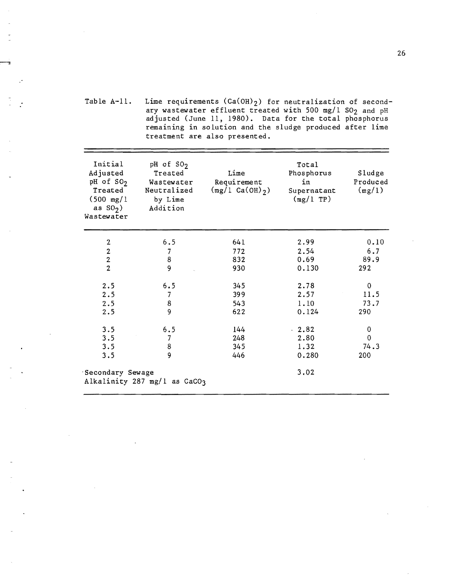Table A-It. Lime requirements  $(\text{Ca}(\text{OH})_2)$  for neutralization of secondary wastewater effluent treated with 500 mg/l SO<sub>2</sub> and pH adjusted (June 11, 1980). Data for the total phosphorus remaining in solution and the sludge produced after lime treatment are also presented.

| Initial<br>Adjusted<br>pH of SO <sub>2</sub><br>Treated<br>$(500 \text{ mg}/1)$<br>as $S0_2$ )<br>Wastewater | pH of $SO2$<br>Treated<br>Wastewater<br>Neutralized<br>by Lime<br>Addition | Lime<br>Requirement<br>$(mg/L Ca(OH)_{2})$ | Total<br>Phosphorus<br>in<br>Supernatant<br>(mg/ITP) | Sludge<br>Produced<br>(mg/1) |
|--------------------------------------------------------------------------------------------------------------|----------------------------------------------------------------------------|--------------------------------------------|------------------------------------------------------|------------------------------|
| 2                                                                                                            | 6.5                                                                        | 641                                        | 2.99                                                 | 0.10                         |
| $\boldsymbol{2}$                                                                                             | 7                                                                          | 772                                        | 2.54                                                 | 6.7                          |
| $\overline{2}$                                                                                               | 8                                                                          | 832                                        | 0.69                                                 | 89.9                         |
| $\overline{2}$                                                                                               | $\overline{9}$                                                             | 930                                        | 0.130                                                | 292                          |
| 2.5                                                                                                          | 6.5                                                                        | 345                                        | 2.78                                                 | $\mathbf 0$                  |
| 2.5                                                                                                          | 7                                                                          | 399                                        | 2.57                                                 | 11.5                         |
| 2.5                                                                                                          | 8                                                                          | 543                                        | 1.10                                                 | 73.7                         |
| 2.5                                                                                                          | 9                                                                          | 622                                        | 0.124                                                | 290                          |
| 3.5                                                                                                          | 6.5                                                                        | 144                                        | $\cdot$ 2.82                                         | 0                            |
| 3.5                                                                                                          | 7                                                                          | 248                                        | 2.80                                                 | 0                            |
| 3.5                                                                                                          | 8                                                                          | 345                                        | 1.32                                                 | 74.3                         |
| 3.5                                                                                                          | 9                                                                          | 446                                        | 0.280                                                | 200                          |
| Secondary Sewage                                                                                             | Alkalinity 287 mg/l as CaCO3                                               |                                            | 3.02                                                 |                              |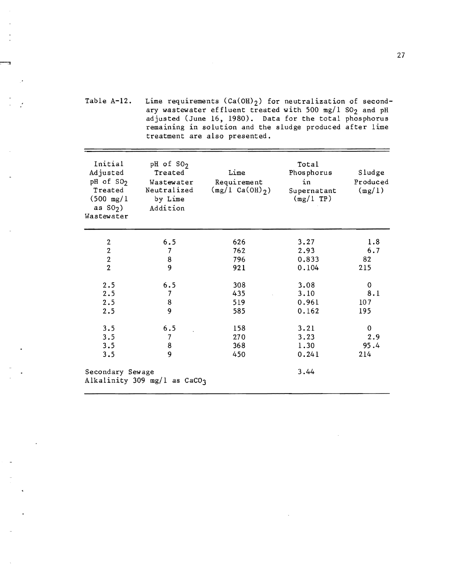Table A-12. Lime requirements  $(Ca(OH)_2)$  for neutralization of secondary wastewater effluent treated with 500 mg/l  $SO_2$  and pH adjusted (June 16, 1980). Data for the total phosphorus remaining in solution and the sludge produced after lime treatment are also presented.

| Initial<br>Adjusted<br>pH of SO <sub>2</sub><br>Treated<br>$(500 \text{ mg}/1)$<br>as $S()$<br>Wastewater | pH of $SO2$<br>Treated<br>Wastewater<br>Neutralized<br>by Lime<br>Addition | Lime<br>Requirement<br>$(mg/1 Ca(OH)_{2})$ | Total<br>Phosphorus<br>in<br>Supernatant<br>$(mg/l$ TP) | Sludge<br>Produced<br>(mg/1) |
|-----------------------------------------------------------------------------------------------------------|----------------------------------------------------------------------------|--------------------------------------------|---------------------------------------------------------|------------------------------|
| $\boldsymbol{2}$                                                                                          | 6.5                                                                        | 626                                        | 3.27                                                    | 1.8                          |
| $\overline{2}$                                                                                            | $\overline{7}$                                                             | 762                                        | 2.93                                                    | 6.7                          |
| $\frac{2}{2}$                                                                                             | $\frac{8}{9}$                                                              | 796                                        | 0.833                                                   | 82                           |
|                                                                                                           |                                                                            | 921                                        | 0.104                                                   | 215                          |
| 2.5                                                                                                       | 6.5                                                                        | 308                                        | 3.08                                                    | 0                            |
| 2.5                                                                                                       | 7                                                                          | 435                                        | 3.10                                                    | 8.1                          |
| 2.5                                                                                                       | 8                                                                          | 519                                        | 0.961                                                   | 107                          |
| 2.5                                                                                                       | $\overline{9}$                                                             | 585                                        | 0.162                                                   | 195                          |
| 3.5                                                                                                       | 6.5                                                                        | 158                                        | 3.21                                                    | $\pmb{0}$                    |
| 3.5                                                                                                       | $\overline{7}$                                                             | 270                                        | 3.23                                                    | 2.9                          |
| 3.5                                                                                                       | 8                                                                          | 368                                        | 1.30                                                    | 95.4                         |
| 3.5                                                                                                       | 9                                                                          | 450                                        | 0.241                                                   | 214                          |
| Secondary Sewage                                                                                          | Alkalinity 309 mg/l as $CaCO3$                                             |                                            | 3.44                                                    |                              |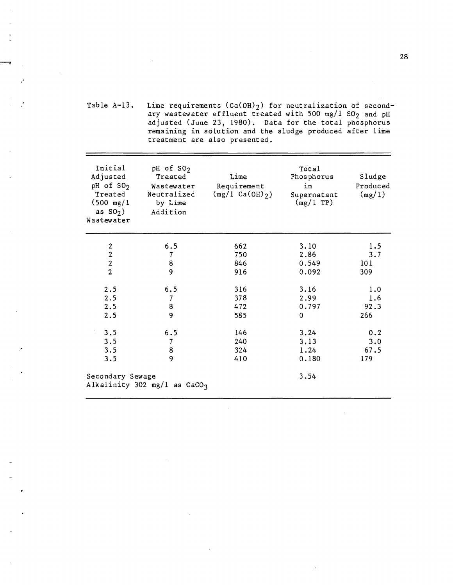Table  $A-13$ . Lime requirements  $(Ca(OH)_2)$  for neutralization of secondary wastewater effluent treated with 500 mg/l  $SO_2$  and pH adjusted (June 23, 1980). Data for the total phosphorus remaining in solution and the sludge produced after lime treatment are also presented.

.'

| Initial<br>Adjusted<br>pH of $SO2$<br>Treated<br>$(500 \text{ mg}/1)$<br>as $SO2$ )<br>Wastewater | pH of SO <sub>2</sub><br>Treated<br>Wastewater<br>Neutralized<br>by Lime<br>Addition | Lime<br>Requirement<br>$(mg/1 Ca(OH)_{2})$ | Total<br>Phosphorus<br>in<br>Supernatant<br>$(mg/l)$ TP) | Sludge<br>Produced<br>(mg/1) |
|---------------------------------------------------------------------------------------------------|--------------------------------------------------------------------------------------|--------------------------------------------|----------------------------------------------------------|------------------------------|
|                                                                                                   | 6.5                                                                                  | 662                                        | 3.10                                                     | 1.5                          |
| $\frac{2}{2}$                                                                                     | $\overline{7}$                                                                       | 750                                        | 2.86                                                     | 3.7                          |
| $\overline{2}$                                                                                    | 8                                                                                    | 846                                        | 0.549                                                    | 101                          |
| $\overline{2}$                                                                                    | 9                                                                                    | 916                                        | 0.092                                                    | 309                          |
| 2.5                                                                                               | 6.5                                                                                  | 316                                        | 3.16                                                     | 1.0                          |
| 2.5                                                                                               | $\overline{7}$                                                                       | 378                                        | 2.99                                                     | 1.6                          |
| 2.5                                                                                               | 8                                                                                    | 472                                        | 0.797                                                    | 92.3                         |
| 2.5                                                                                               | 9                                                                                    | 585                                        | $\Omega$                                                 | 266                          |
| 3.5                                                                                               | 6.5                                                                                  | 146                                        | 3.24                                                     | 0.2                          |
| 3.5                                                                                               | 7                                                                                    | 240                                        | 3.13                                                     | 3.0                          |
| 3.5                                                                                               | 8                                                                                    | 324                                        | 1.24                                                     | 67,5                         |
| 3.5                                                                                               | 9                                                                                    | 410                                        | 0.180                                                    | 179                          |
| Secondary Sewage                                                                                  | Alkalinity 302 mg/l as $CaCO3$                                                       |                                            | 3.54                                                     |                              |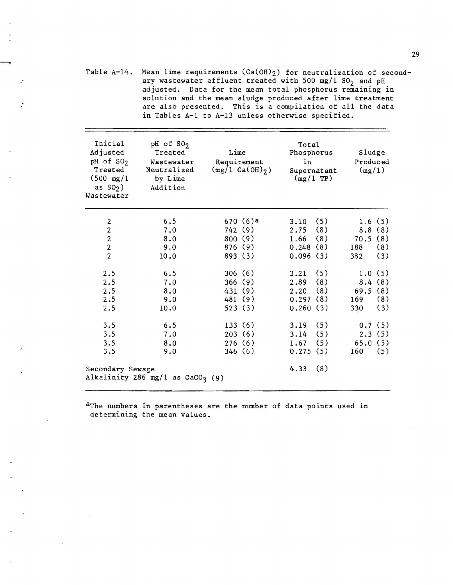Table A-14. Mean lime requirements  $(Ca(OH)_2)$  for neutralization of secondary wastewater effluent treated with 500 mg/1  $SO_2$  and pH adjusted. Data for the mean total phosphorus remaining in solution and the mean sludge produced after lime treatment are also presented. This is a compilation of all the data in Tables A-I to A-13 unless otherwise specified.

.'

| Initial<br>Adjusted<br>$pH$ of $SO2$<br>Treated<br>$(500 \text{ mg}/1)$<br>as $S()$<br>Wastewater | pH of SO <sub>2</sub><br>Treated<br>Wastewater<br>Neutralized<br>by Lime<br>Addition | Lime<br>Requirement<br>$(mg/1 Ca(OH)_{2})$ | Total<br>Phosphorus<br>in<br>Supernatant<br>$(mg/1)$ TP) | Sludge<br>Produced<br>(mg/1) |
|---------------------------------------------------------------------------------------------------|--------------------------------------------------------------------------------------|--------------------------------------------|----------------------------------------------------------|------------------------------|
| $\overline{c}$                                                                                    | 6.5                                                                                  | 670(6)a                                    | (5)<br>3.10                                              | 1.6(5)                       |
| $\overline{c}$                                                                                    | 7.0                                                                                  | 742(9)                                     | (8)<br>2.75                                              | 8.8(8)                       |
| $\overline{c}$                                                                                    | 8.0                                                                                  | 800 (9)                                    | (8)<br>1.66                                              | 70.5(8)                      |
| $\overline{\mathbf{c}}$                                                                           | 9.0                                                                                  | 876 (9)                                    | 0.248(8)                                                 | (8)<br>188                   |
| $\overline{2}$                                                                                    | 10.0                                                                                 | 893 (3)                                    | 0.096(3)                                                 | (3)<br>382                   |
| 2.5                                                                                               | 6.5                                                                                  | 306(6)                                     | (5)<br>3.21                                              | 1.0(5)                       |
| 2.5                                                                                               | 7.0                                                                                  | 366(9)                                     | (8)<br>2.89                                              | 8.4(8)                       |
| 2.5                                                                                               | 8.0                                                                                  | 431(9)                                     | (8)<br>2.20                                              | (8)<br>69.5                  |
| 2.5                                                                                               | 9.0                                                                                  | 481 (9)                                    | 0.297(8)                                                 | (8)<br>169                   |
| 2.5                                                                                               | 10.0                                                                                 | 523(3)                                     | 0.260(3)                                                 | (3)<br>330                   |
| 3.5                                                                                               | 6.5                                                                                  | 133(6)                                     | (5)<br>3.19                                              | 0.7(5)                       |
| 3.5                                                                                               | 7.0                                                                                  | 203(6)                                     | (5)<br>3.14                                              | 2.3(5)                       |
| 3.5                                                                                               | 8.0                                                                                  | 276(6)                                     | (5)<br>1.67                                              | 65.0(5)                      |
| 3.5                                                                                               | 9.0                                                                                  | 346(6)                                     | 0.275(5)                                                 | (5)<br>160                   |
| Secondary Sewage                                                                                  | Alkalinity 286 mg/l as $CaCO3$ (9)                                                   |                                            | 4.33<br>(8)                                              |                              |

aThe numbers in parentheses are the number of data points used in determining the mean values.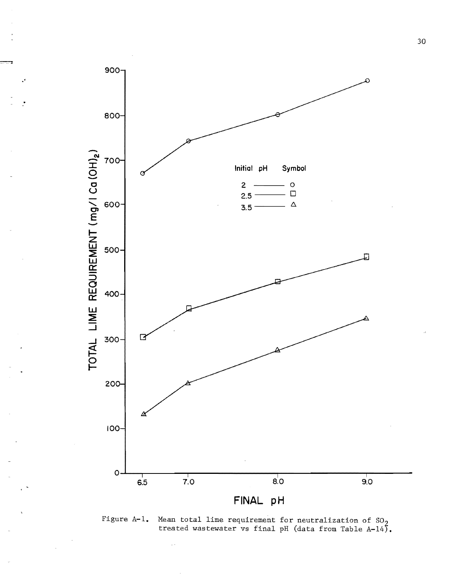

.'

Figure A-1. Mean total lime requirement for neutralization of  $SO_2$ treated wastewater vs final pH (data from Table A-14).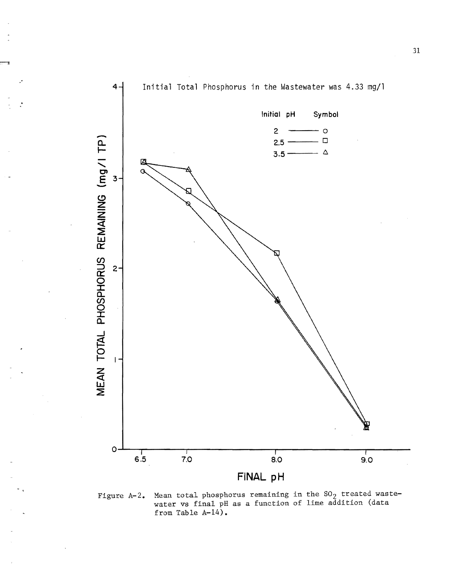

· .

Figure A-2. Mean total phosphorus remaining in the SO $_2$  treated wastewater vs final pH as a function of lime addition (data from Table A-14).